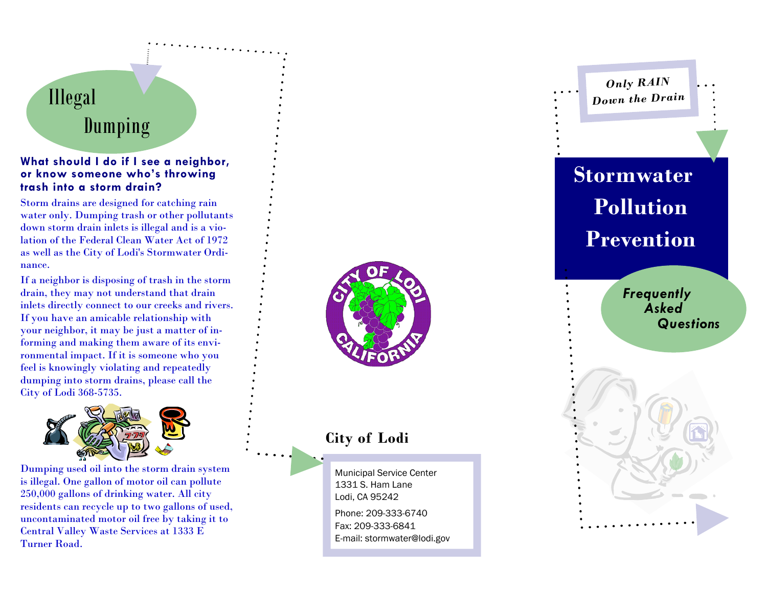# Illegal Dumping

#### **What should I do if I see a neighbor, or know someone who's throwing trash into a storm drain?**

Storm drains are designed for catching rain water only. Dumping trash or other pollutants down storm drain inlets is illegal and is a violation of the Federal Clean Water Act of 1972 as well as the City of Lodi's Stormwater Ordinance.

If a neighbor is disposing of trash in the storm drain, they may not understand that drain inlets directly connect to our creeks and rivers. If you have an amicable relationship with your neighbor, it may be just a matter of informing and making them aware of its environmental impact. If it is someone who you feel is knowingly violating and repeatedly dumping into storm drains, please call the City of Lodi 368-5735.



Dumping used oil into the storm drain system is illegal. One gallon of motor oil can pollute 250,000 gallons of drinking water. All city residents can recycle up to two gallons of used, uncontaminated motor oil free by taking it to Central Valley Waste Services at 1333 E Turner Road.



# **City of Lodi**

Municipal Service Center 1331 S. Ham Lane Lodi, CA 95242 Phone: 209-333-6740

Fax: 209-333-6841 E-mail: stormwater@lodi.gov